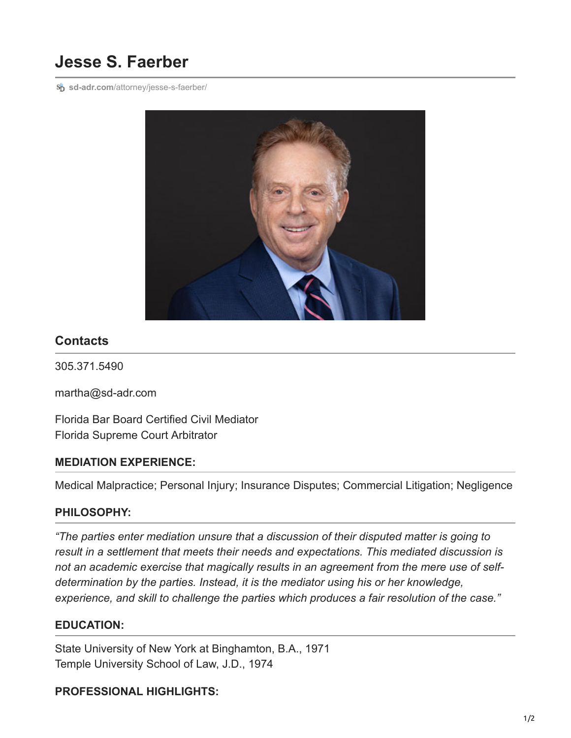# **Jesse S. Faerber**

**sp** sd-adr.com[/attorney/jesse-s-faerber/](https://sd-adr.com/attorney/jesse-s-faerber/)



# **Contacts**

305.371.5490

martha@sd-adr.com

Florida Bar Board Certified Civil Mediator Florida Supreme Court Arbitrator

### **MEDIATION EXPERIENCE:**

Medical Malpractice; Personal Injury; Insurance Disputes; Commercial Litigation; Negligence

### **PHILOSOPHY:**

*"The parties enter mediation unsure that a discussion of their disputed matter is going to result in a settlement that meets their needs and expectations. This mediated discussion is not an academic exercise that magically results in an agreement from the mere use of selfdetermination by the parties. Instead, it is the mediator using his or her knowledge, experience, and skill to challenge the parties which produces a fair resolution of the case."*

### **EDUCATION:**

State University of New York at Binghamton, B.A., 1971 Temple University School of Law, J.D., 1974

### **PROFESSIONAL HIGHLIGHTS:**